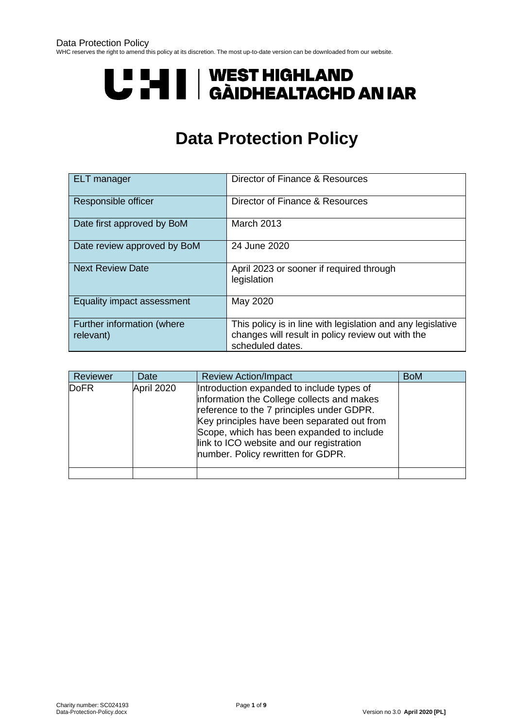# U "HI | WEST HIGHLAND<br>U THI | GÀIDHEALTACHD AN IAR

## **Data Protection Policy**

| <b>ELT</b> manager                      | Director of Finance & Resources                                                                                                      |
|-----------------------------------------|--------------------------------------------------------------------------------------------------------------------------------------|
| Responsible officer                     | Director of Finance & Resources                                                                                                      |
| Date first approved by BoM              | <b>March 2013</b>                                                                                                                    |
| Date review approved by BoM             | 24 June 2020                                                                                                                         |
| <b>Next Review Date</b>                 | April 2023 or sooner if required through<br>legislation                                                                              |
| Equality impact assessment              | May 2020                                                                                                                             |
| Further information (where<br>relevant) | This policy is in line with legislation and any legislative<br>changes will result in policy review out with the<br>scheduled dates. |

| Reviewer    | Date       | <b>Review Action/Impact</b>                                                                                                                                                                                                                                                                                        | <b>BoM</b> |
|-------------|------------|--------------------------------------------------------------------------------------------------------------------------------------------------------------------------------------------------------------------------------------------------------------------------------------------------------------------|------------|
| <b>DoFR</b> | April 2020 | Introduction expanded to include types of<br>information the College collects and makes<br>reference to the 7 principles under GDPR.<br>Key principles have been separated out from<br>Scope, which has been expanded to include<br>link to ICO website and our registration<br>number. Policy rewritten for GDPR. |            |
|             |            |                                                                                                                                                                                                                                                                                                                    |            |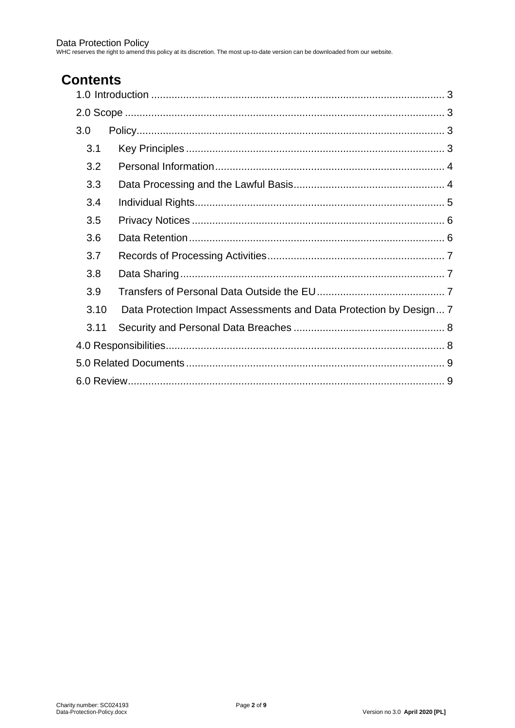## **Contents**

| 3.0  |                                                                    |
|------|--------------------------------------------------------------------|
| 3.1  |                                                                    |
| 3.2  |                                                                    |
| 3.3  |                                                                    |
| 3.4  |                                                                    |
| 3.5  |                                                                    |
| 3.6  |                                                                    |
| 3.7  |                                                                    |
| 3.8  |                                                                    |
| 3.9  |                                                                    |
| 3.10 | Data Protection Impact Assessments and Data Protection by Design 7 |
| 3.11 |                                                                    |
|      |                                                                    |
|      |                                                                    |
|      |                                                                    |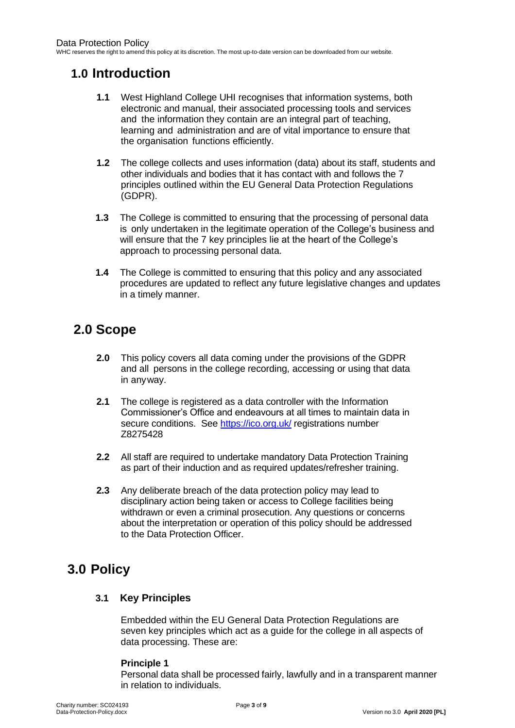## <span id="page-2-0"></span>**1.0 Introduction**

- **1.1** West Highland College UHI recognises that information systems, both electronic and manual, their associated processing tools and services and the information they contain are an integral part of teaching, learning and administration and are of vital importance to ensure that the organisation functions efficiently.
- **1.2** The college collects and uses information (data) about its staff, students and other individuals and bodies that it has contact with and follows the 7 principles outlined within the EU General Data Protection Regulations (GDPR).
- **1.3** The College is committed to ensuring that the processing of personal data is only undertaken in the legitimate operation of the College's business and will ensure that the 7 key principles lie at the heart of the College's approach to processing personal data.
- **1.4** The College is committed to ensuring that this policy and any associated procedures are updated to reflect any future legislative changes and updates in a timely manner.

## <span id="page-2-1"></span>**2.0 Scope**

- **2.0** This policy covers all data coming under the provisions of the GDPR and all persons in the college recording, accessing or using that data in anyway.
- **2.1** The college is registered as a data controller with the Information Commissioner's Office and endeavours at all times to maintain data in secure conditions. See<https://ico.org.uk/> registrations number Z8275428
- **2.2** All staff are required to undertake mandatory Data Protection Training as part of their induction and as required updates/refresher training.
- **2.3** Any deliberate breach of the data protection policy may lead to disciplinary action being taken or access to College facilities being withdrawn or even a criminal prosecution. Any questions or concerns about the interpretation or operation of this policy should be addressed to the Data Protection Officer.

## <span id="page-2-3"></span><span id="page-2-2"></span>**3.0 Policy**

#### **3.1 Key Principles**

Embedded within the EU General Data Protection Regulations are seven key principles which act as a guide for the college in all aspects of data processing. These are:

#### **Principle 1**

Personal data shall be processed fairly, lawfully and in a transparent manner in relation to individuals.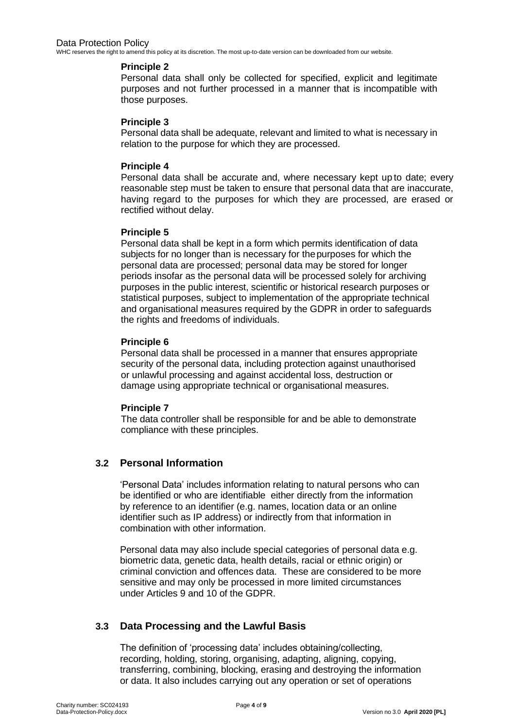#### **Principle 2**

Personal data shall only be collected for specified, explicit and legitimate purposes and not further processed in a manner that is incompatible with those purposes.

#### **Principle 3**

Personal data shall be adequate, relevant and limited to what is necessary in relation to the purpose for which they are processed.

#### **Principle 4**

Personal data shall be accurate and, where necessary kept up to date; every reasonable step must be taken to ensure that personal data that are inaccurate, having regard to the purposes for which they are processed, are erased or rectified without delay.

#### **Principle 5**

Personal data shall be kept in a form which permits identification of data subjects for no longer than is necessary for thepurposes for which the personal data are processed; personal data may be stored for longer periods insofar as the personal data will be processed solely for archiving purposes in the public interest, scientific or historical research purposes or statistical purposes, subject to implementation of the appropriate technical and organisational measures required by the GDPR in order to safeguards the rights and freedoms of individuals.

#### **Principle 6**

Personal data shall be processed in a manner that ensures appropriate security of the personal data, including protection against unauthorised or unlawful processing and against accidental loss, destruction or damage using appropriate technical or organisational measures.

#### **Principle 7**

The data controller shall be responsible for and be able to demonstrate compliance with these principles.

#### <span id="page-3-0"></span>**3.2 Personal Information**

'Personal Data' includes information relating to natural persons who can be identified or who are identifiable either directly from the information by reference to an identifier (e.g. names, location data or an online identifier such as IP address) or indirectly from that information in combination with other information.

Personal data may also include special categories of personal data e.g. biometric data, genetic data, health details, racial or ethnic origin) or criminal conviction and offences data. These are considered to be more sensitive and may only be processed in more limited circumstances under Articles 9 and 10 of the GDPR.

#### <span id="page-3-1"></span>**3.3 Data Processing and the Lawful Basis**

The definition of 'processing data' includes obtaining/collecting, recording, holding, storing, organising, adapting, aligning, copying, transferring, combining, blocking, erasing and destroying the information or data. It also includes carrying out any operation or set of operations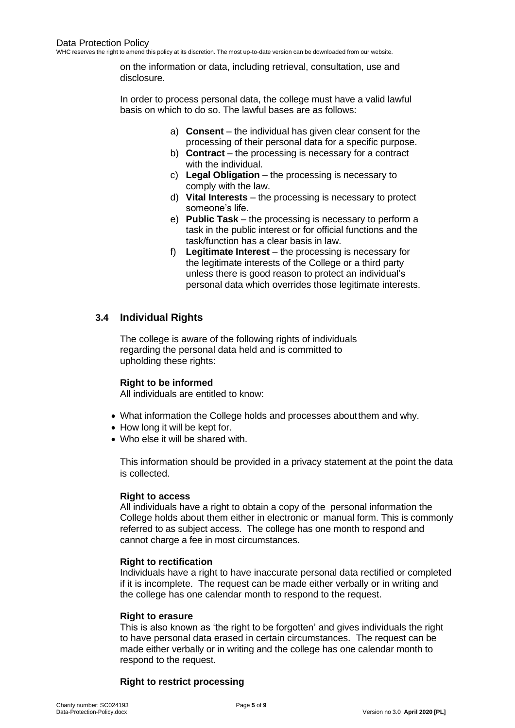on the information or data, including retrieval, consultation, use and disclosure.

In order to process personal data, the college must have a valid lawful basis on which to do so. The lawful bases are as follows:

- a) **Consent** the individual has given clear consent for the processing of their personal data for a specific purpose.
- b) **Contract**  the processing is necessary for a contract with the individual.
- c) **Legal Obligation** the processing is necessary to comply with the law.
- d) **Vital Interests** the processing is necessary to protect someone's life.
- e) **Public Task** the processing is necessary to perform a task in the public interest or for official functions and the task/function has a clear basis in law.
- f) **Legitimate Interest** the processing is necessary for the legitimate interests of the College or a third party unless there is good reason to protect an individual's personal data which overrides those legitimate interests.

#### <span id="page-4-0"></span>**3.4 Individual Rights**

The college is aware of the following rights of individuals regarding the personal data held and is committed to upholding these rights:

#### **Right to be informed**

All individuals are entitled to know:

- What information the College holds and processes aboutthem and why.
- How long it will be kept for.
- Who else it will be shared with.

This information should be provided in a privacy statement at the point the data is collected.

#### **Right to access**

All individuals have a right to obtain a copy of the personal information the College holds about them either in electronic or manual form. This is commonly referred to as subject access. The college has one month to respond and cannot charge a fee in most circumstances.

#### **Right to rectification**

Individuals have a right to have inaccurate personal data rectified or completed if it is incomplete. The request can be made either verbally or in writing and the college has one calendar month to respond to the request.

#### **Right to erasure**

This is also known as 'the right to be forgotten' and gives individuals the right to have personal data erased in certain circumstances. The request can be made either verbally or in writing and the college has one calendar month to respond to the request.

#### **Right to restrict processing**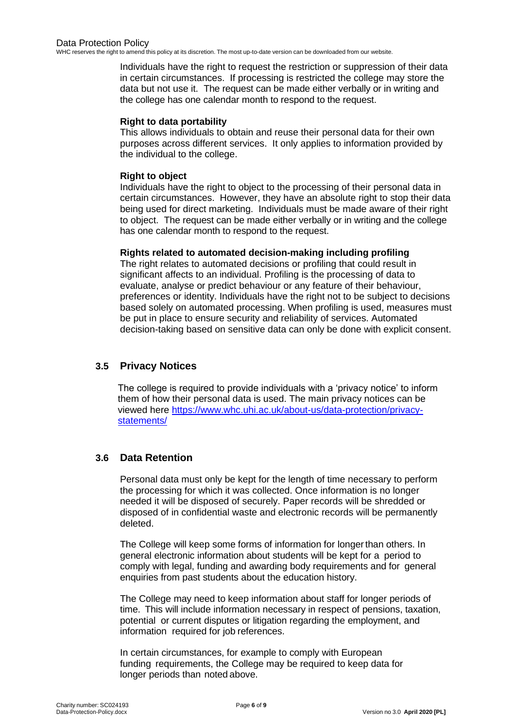Individuals have the right to request the restriction or suppression of their data in certain circumstances. If processing is restricted the college may store the data but not use it. The request can be made either verbally or in writing and the college has one calendar month to respond to the request.

#### **Right to data portability**

This allows individuals to obtain and reuse their personal data for their own purposes across different services. It only applies to information provided by the individual to the college.

#### **Right to object**

Individuals have the right to object to the processing of their personal data in certain circumstances. However, they have an absolute right to stop their data being used for direct marketing. Individuals must be made aware of their right to object. The request can be made either verbally or in writing and the college has one calendar month to respond to the request.

#### **Rights related to automated decision-making including profiling**

The right relates to automated decisions or profiling that could result in significant affects to an individual. Profiling is the processing of data to evaluate, analyse or predict behaviour or any feature of their behaviour, preferences or identity. Individuals have the right not to be subject to decisions based solely on automated processing. When profiling is used, measures must be put in place to ensure security and reliability of services. Automated decision-taking based on sensitive data can only be done with explicit consent.

#### <span id="page-5-0"></span>**3.5 Privacy Notices**

The college is required to provide individuals with a 'privacy notice' to inform them of how their personal data is used. The main privacy notices can be viewed here [https://www.whc.uhi.ac.uk/about-us/data-protection/privacy](https://www.whc.uhi.ac.uk/about-us/data-protection/privacy-statements/)[statements/](https://www.whc.uhi.ac.uk/about-us/data-protection/privacy-statements/)

#### <span id="page-5-1"></span>**3.6 Data Retention**

Personal data must only be kept for the length of time necessary to perform the processing for which it was collected. Once information is no longer needed it will be disposed of securely. Paper records will be shredded or disposed of in confidential waste and electronic records will be permanently deleted.

The College will keep some forms of information for longerthan others. In general electronic information about students will be kept for a period to comply with legal, funding and awarding body requirements and for general enquiries from past students about the education history.

The College may need to keep information about staff for longer periods of time. This will include information necessary in respect of pensions, taxation, potential or current disputes or litigation regarding the employment, and information required for job references.

In certain circumstances, for example to comply with European funding requirements, the College may be required to keep data for longer periods than noted above.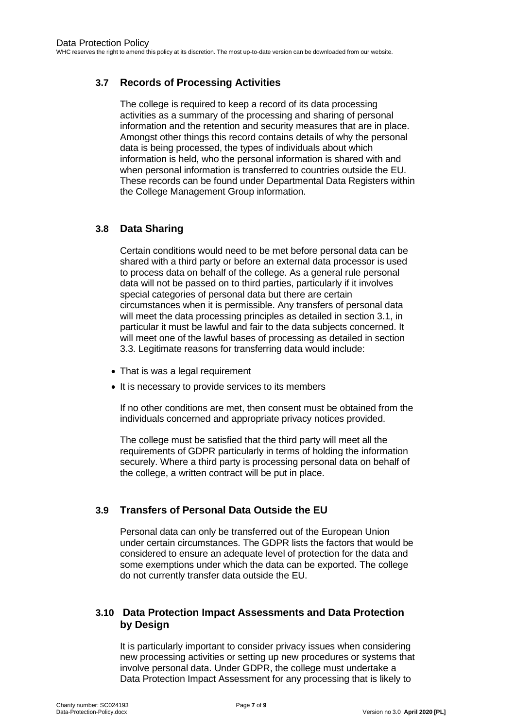#### <span id="page-6-0"></span>**3.7 Records of Processing Activities**

The college is required to keep a record of its data processing activities as a summary of the processing and sharing of personal information and the retention and security measures that are in place. Amongst other things this record contains details of why the personal data is being processed, the types of individuals about which information is held, who the personal information is shared with and when personal information is transferred to countries outside the EU. These records can be found under Departmental Data Registers within the College Management Group information.

#### <span id="page-6-1"></span>**3.8 Data Sharing**

Certain conditions would need to be met before personal data can be shared with a third party or before an external data processor is used to process data on behalf of the college. As a general rule personal data will not be passed on to third parties, particularly if it involves special categories of personal data but there are certain circumstances when it is permissible. Any transfers of personal data will meet the data processing principles as detailed in section 3.1, in particular it must be lawful and fair to the data subjects concerned. It will meet one of the lawful bases of processing as detailed in section 3.3. Legitimate reasons for transferring data would include:

- That is was a legal requirement
- It is necessary to provide services to its members

If no other conditions are met, then consent must be obtained from the individuals concerned and appropriate privacy notices provided.

The college must be satisfied that the third party will meet all the requirements of GDPR particularly in terms of holding the information securely. Where a third party is processing personal data on behalf of the college, a written contract will be put in place.

#### <span id="page-6-2"></span>**3.9 Transfers of Personal Data Outside the EU**

Personal data can only be transferred out of the European Union under certain circumstances. The GDPR lists the factors that would be considered to ensure an adequate level of protection for the data and some exemptions under which the data can be exported. The college do not currently transfer data outside the EU.

#### <span id="page-6-3"></span>**3.10 Data Protection Impact Assessments and Data Protection by Design**

It is particularly important to consider privacy issues when considering new processing activities or setting up new procedures or systems that involve personal data. Under GDPR, the college must undertake a Data Protection Impact Assessment for any processing that is likely to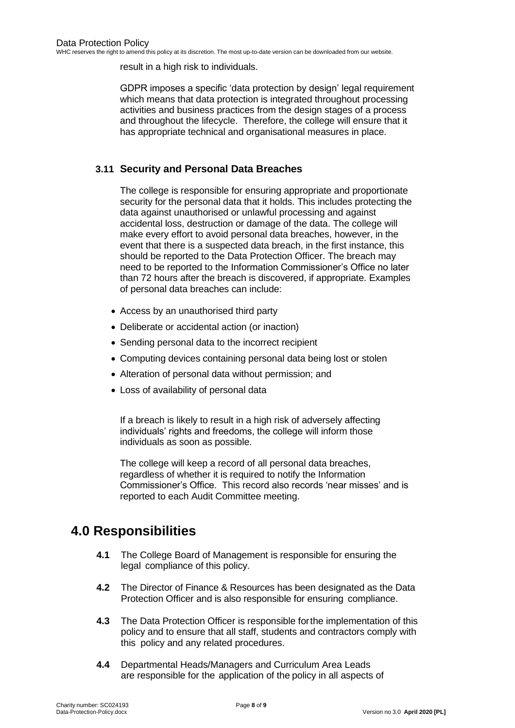result in a high risk to individuals.

GDPR imposes a specific 'data protection by design' legal requirement which means that data protection is integrated throughout processing activities and business practices from the design stages of a process and throughout the lifecycle. Therefore, the college will ensure that it has appropriate technical and organisational measures in place.

#### <span id="page-7-0"></span>**3.11 Security and Personal Data Breaches**

The college is responsible for ensuring appropriate and proportionate security for the personal data that it holds. This includes protecting the data against unauthorised or unlawful processing and against accidental loss, destruction or damage of the data. The college will make every effort to avoid personal data breaches, however, in the event that there is a suspected data breach, in the first instance, this should be reported to the Data Protection Officer. The breach may need to be reported to the Information Commissioner's Office no later than 72 hours after the breach is discovered, if appropriate. Examples of personal data breaches can include:

- Access by an unauthorised third party
- Deliberate or accidental action (or inaction)
- Sending personal data to the incorrect recipient
- Computing devices containing personal data being lost or stolen
- Alteration of personal data without permission; and
- Loss of availability of personal data

If a breach is likely to result in a high risk of adversely affecting individuals' rights and freedoms, the college will inform those individuals as soon as possible.

The college will keep a record of all personal data breaches, regardless of whether it is required to notify the Information Commissioner's Office. This record also records 'near misses' and is reported to each Audit Committee meeting.

## <span id="page-7-1"></span>**4.0 Responsibilities**

- **4.1** The College Board of Management is responsible for ensuring the legal compliance of this policy.
- **4.2** The Director of Finance & Resources has been designated as the Data Protection Officer and is also responsible for ensuring compliance.
- **4.3** The Data Protection Officer is responsible forthe implementation of this policy and to ensure that all staff, students and contractors comply with this policy and any related procedures.
- **4.4** Departmental Heads/Managers and Curriculum Area Leads are responsible for the application of the policy in all aspects of